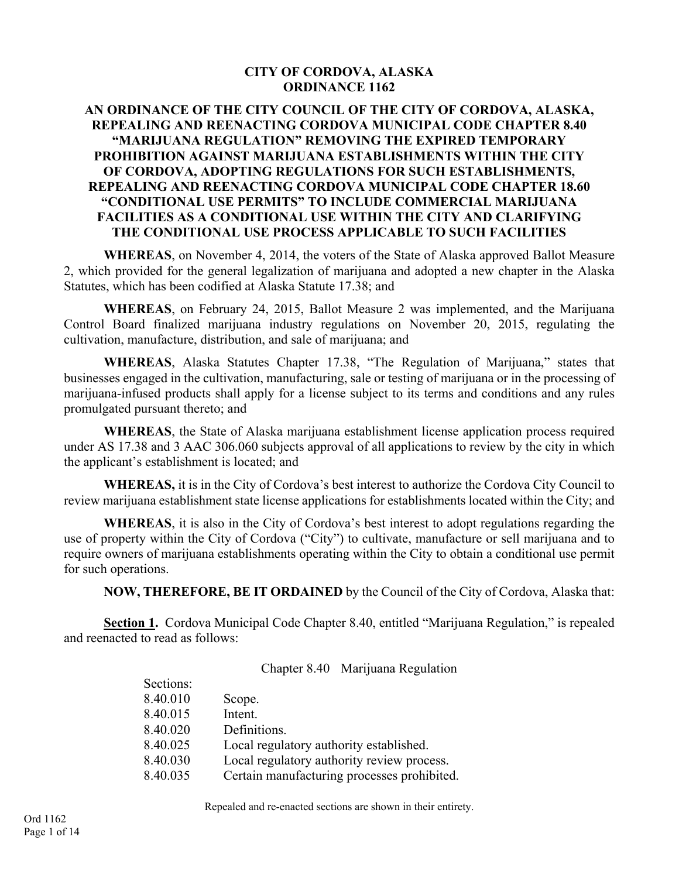#### **CITY OF CORDOVA, ALASKA ORDINANCE 1162**

#### **AN ORDINANCE OF THE CITY COUNCIL OF THE CITY OF CORDOVA, ALASKA, REPEALING AND REENACTING CORDOVA MUNICIPAL CODE CHAPTER 8.40 "MARIJUANA REGULATION" REMOVING THE EXPIRED TEMPORARY PROHIBITION AGAINST MARIJUANA ESTABLISHMENTS WITHIN THE CITY OF CORDOVA, ADOPTING REGULATIONS FOR SUCH ESTABLISHMENTS, REPEALING AND REENACTING CORDOVA MUNICIPAL CODE CHAPTER 18.60 "CONDITIONAL USE PERMITS" TO INCLUDE COMMERCIAL MARIJUANA FACILITIES AS A CONDITIONAL USE WITHIN THE CITY AND CLARIFYING THE CONDITIONAL USE PROCESS APPLICABLE TO SUCH FACILITIES**

**WHEREAS**, on November 4, 2014, the voters of the State of Alaska approved Ballot Measure 2, which provided for the general legalization of marijuana and adopted a new chapter in the Alaska Statutes, which has been codified at Alaska Statute 17.38; and

**WHEREAS**, on February 24, 2015, Ballot Measure 2 was implemented, and the Marijuana Control Board finalized marijuana industry regulations on November 20, 2015, regulating the cultivation, manufacture, distribution, and sale of marijuana; and

**WHEREAS**, Alaska Statutes Chapter 17.38, "The Regulation of Marijuana," states that businesses engaged in the cultivation, manufacturing, sale or testing of marijuana or in the processing of marijuana-infused products shall apply for a license subject to its terms and conditions and any rules promulgated pursuant thereto; and

**WHEREAS**, the State of Alaska marijuana establishment license application process required under AS 17.38 and 3 AAC 306.060 subjects approval of all applications to review by the city in which the applicant's establishment is located; and

**WHEREAS,** it is in the City of Cordova's best interest to authorize the Cordova City Council to review marijuana establishment state license applications for establishments located within the City; and

**WHEREAS**, it is also in the City of Cordova's best interest to adopt regulations regarding the use of property within the City of Cordova ("City") to cultivate, manufacture or sell marijuana and to require owners of marijuana establishments operating within the City to obtain a conditional use permit for such operations.

**NOW, THEREFORE, BE IT ORDAINED** by the Council of the City of Cordova, Alaska that:

**Section 1.** Cordova Municipal Code Chapter 8.40, entitled "Marijuana Regulation," is repealed and reenacted to read as follows:

Chapter 8.40 Marijuana Regulation

| Scope.                                      |
|---------------------------------------------|
| Intent.                                     |
| Definitions.                                |
| Local regulatory authority established.     |
| Local regulatory authority review process.  |
| Certain manufacturing processes prohibited. |
|                                             |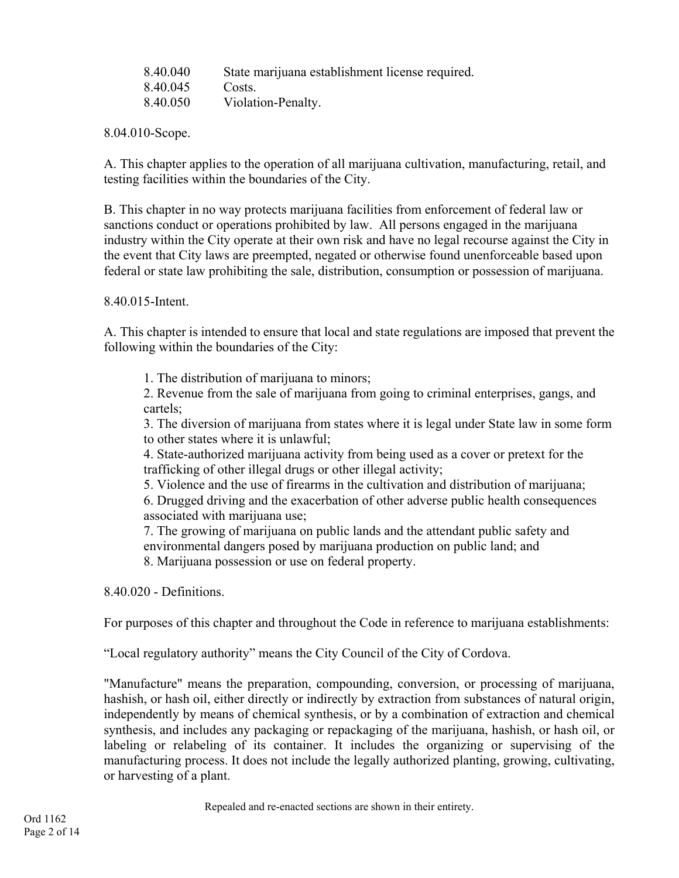| 8.40.040 | State marijuana establishment license required. |
|----------|-------------------------------------------------|
| 8.40.045 | Costs.                                          |
| 8.40.050 | Violation-Penalty.                              |

8.04.010-Scope.

A. This chapter applies to the operation of all marijuana cultivation, manufacturing, retail, and testing facilities within the boundaries of the City.

B. This chapter in no way protects marijuana facilities from enforcement of federal law or sanctions conduct or operations prohibited by law. All persons engaged in the marijuana industry within the City operate at their own risk and have no legal recourse against the City in the event that City laws are preempted, negated or otherwise found unenforceable based upon federal or state law prohibiting the sale, distribution, consumption or possession of marijuana.

8.40.015-Intent.

A. This chapter is intended to ensure that local and state regulations are imposed that prevent the following within the boundaries of the City:

1. The distribution of marijuana to minors;

2. Revenue from the sale of marijuana from going to criminal enterprises, gangs, and cartels;

3. The diversion of marijuana from states where it is legal under State law in some form to other states where it is unlawful;

4. State-authorized marijuana activity from being used as a cover or pretext for the trafficking of other illegal drugs or other illegal activity;

5. Violence and the use of firearms in the cultivation and distribution of marijuana;

6. Drugged driving and the exacerbation of other adverse public health consequences associated with marijuana use;

7. The growing of marijuana on public lands and the attendant public safety and environmental dangers posed by marijuana production on public land; and 8. Marijuana possession or use on federal property.

8.40.020 - Definitions.

For purposes of this chapter and throughout the Code in reference to marijuana establishments:

"Local regulatory authority" means the City Council of the City of Cordova.

"Manufacture" means the preparation, compounding, conversion, or processing of marijuana, hashish, or hash oil, either directly or indirectly by extraction from substances of natural origin, independently by means of chemical synthesis, or by a combination of extraction and chemical synthesis, and includes any packaging or repackaging of the marijuana, hashish, or hash oil, or labeling or relabeling of its container. It includes the organizing or supervising of the manufacturing process. It does not include the legally authorized planting, growing, cultivating, or harvesting of a plant.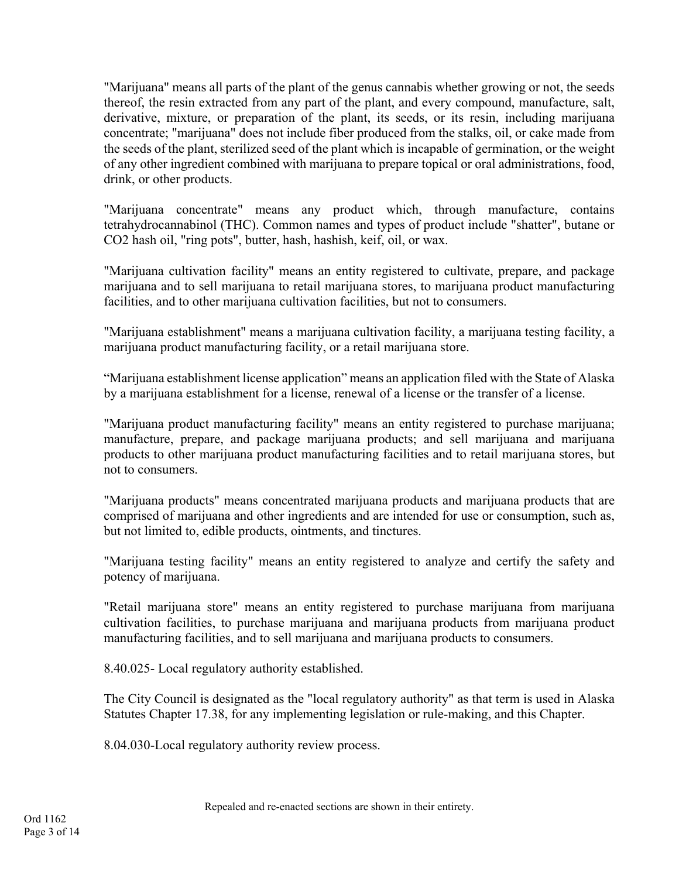"Marijuana" means all parts of the plant of the genus cannabis whether growing or not, the seeds thereof, the resin extracted from any part of the plant, and every compound, manufacture, salt, derivative, mixture, or preparation of the plant, its seeds, or its resin, including marijuana concentrate; "marijuana" does not include fiber produced from the stalks, oil, or cake made from the seeds of the plant, sterilized seed of the plant which is incapable of germination, or the weight of any other ingredient combined with marijuana to prepare topical or oral administrations, food, drink, or other products.

"Marijuana concentrate" means any product which, through manufacture, contains tetrahydrocannabinol (THC). Common names and types of product include "shatter", butane or CO2 hash oil, "ring pots", butter, hash, hashish, keif, oil, or wax.

"Marijuana cultivation facility" means an entity registered to cultivate, prepare, and package marijuana and to sell marijuana to retail marijuana stores, to marijuana product manufacturing facilities, and to other marijuana cultivation facilities, but not to consumers.

"Marijuana establishment" means a marijuana cultivation facility, a marijuana testing facility, a marijuana product manufacturing facility, or a retail marijuana store.

"Marijuana establishment license application" means an application filed with the State of Alaska by a marijuana establishment for a license, renewal of a license or the transfer of a license.

"Marijuana product manufacturing facility" means an entity registered to purchase marijuana; manufacture, prepare, and package marijuana products; and sell marijuana and marijuana products to other marijuana product manufacturing facilities and to retail marijuana stores, but not to consumers.

"Marijuana products" means concentrated marijuana products and marijuana products that are comprised of marijuana and other ingredients and are intended for use or consumption, such as, but not limited to, edible products, ointments, and tinctures.

"Marijuana testing facility" means an entity registered to analyze and certify the safety and potency of marijuana.

"Retail marijuana store" means an entity registered to purchase marijuana from marijuana cultivation facilities, to purchase marijuana and marijuana products from marijuana product manufacturing facilities, and to sell marijuana and marijuana products to consumers.

8.40.025- Local regulatory authority established.

The City Council is designated as the "local regulatory authority" as that term is used in Alaska Statutes Chapter 17.38, for any implementing legislation or rule-making, and this Chapter.

8.04.030-Local regulatory authority review process.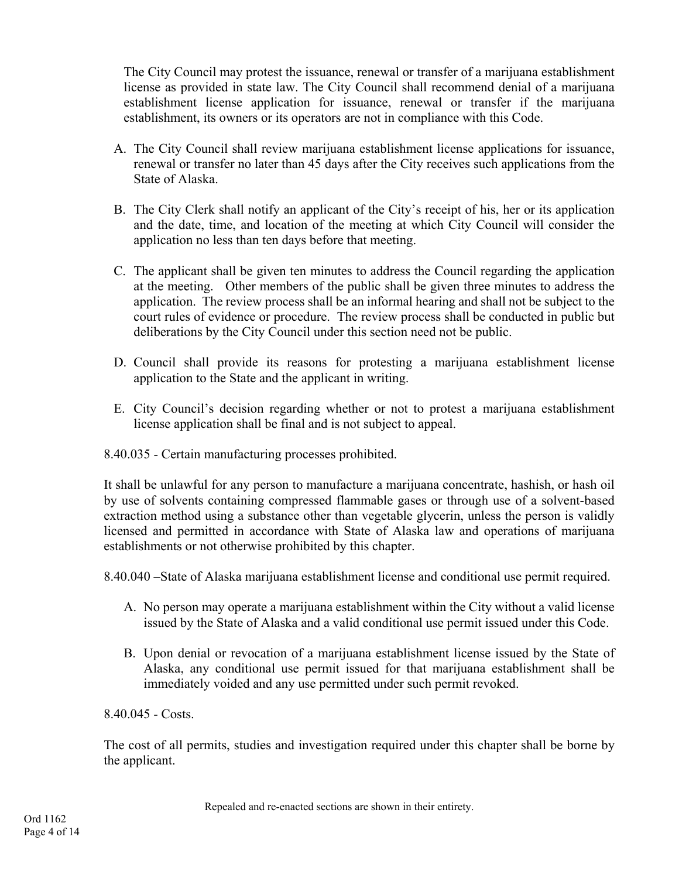The City Council may protest the issuance, renewal or transfer of a marijuana establishment license as provided in state law. The City Council shall recommend denial of a marijuana establishment license application for issuance, renewal or transfer if the marijuana establishment, its owners or its operators are not in compliance with this Code.

- A. The City Council shall review marijuana establishment license applications for issuance, renewal or transfer no later than 45 days after the City receives such applications from the State of Alaska.
- B. The City Clerk shall notify an applicant of the City's receipt of his, her or its application and the date, time, and location of the meeting at which City Council will consider the application no less than ten days before that meeting.
- C. The applicant shall be given ten minutes to address the Council regarding the application at the meeting. Other members of the public shall be given three minutes to address the application. The review process shall be an informal hearing and shall not be subject to the court rules of evidence or procedure. The review process shall be conducted in public but deliberations by the City Council under this section need not be public.
- D. Council shall provide its reasons for protesting a marijuana establishment license application to the State and the applicant in writing.
- E. City Council's decision regarding whether or not to protest a marijuana establishment license application shall be final and is not subject to appeal.
- 8.40.035 Certain manufacturing processes prohibited.

It shall be unlawful for any person to manufacture a marijuana concentrate, hashish, or hash oil by use of solvents containing compressed flammable gases or through use of a solvent-based extraction method using a substance other than vegetable glycerin, unless the person is validly licensed and permitted in accordance with State of Alaska law and operations of marijuana establishments or not otherwise prohibited by this chapter.

8.40.040 –State of Alaska marijuana establishment license and conditional use permit required.

- A. No person may operate a marijuana establishment within the City without a valid license issued by the State of Alaska and a valid conditional use permit issued under this Code.
- B. Upon denial or revocation of a marijuana establishment license issued by the State of Alaska, any conditional use permit issued for that marijuana establishment shall be immediately voided and any use permitted under such permit revoked.

8.40.045 - Costs.

The cost of all permits, studies and investigation required under this chapter shall be borne by the applicant.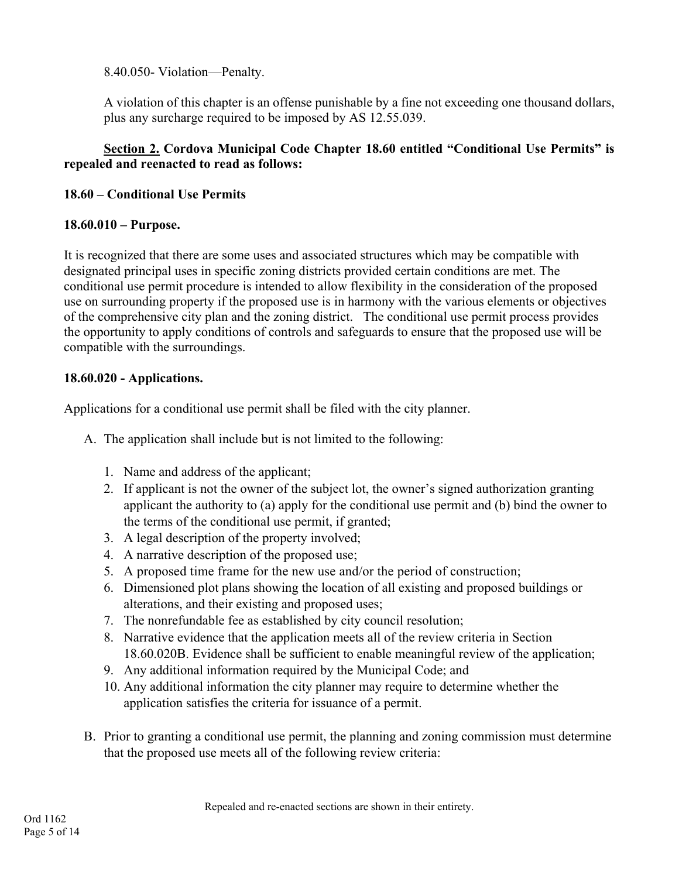8.40.050- Violation—Penalty.

A violation of this chapter is an offense punishable by a fine not exceeding one thousand dollars, plus any surcharge required to be imposed by AS 12.55.039.

## **Section 2. Cordova Municipal Code Chapter 18.60 entitled "Conditional Use Permits" is repealed and reenacted to read as follows:**

## **18.60 – Conditional Use Permits**

## **18.60.010 – Purpose.**

It is recognized that there are some uses and associated structures which may be compatible with designated principal uses in specific zoning districts provided certain conditions are met. The conditional use permit procedure is intended to allow flexibility in the consideration of the proposed use on surrounding property if the proposed use is in harmony with the various elements or objectives of the comprehensive city plan and the zoning district. The conditional use permit process provides the opportunity to apply conditions of controls and safeguards to ensure that the proposed use will be compatible with the surroundings.

# **18.60.020 - Applications.**

Applications for a conditional use permit shall be filed with the city planner.

- A. The application shall include but is not limited to the following:
	- 1. Name and address of the applicant;
	- 2. If applicant is not the owner of the subject lot, the owner's signed authorization granting applicant the authority to (a) apply for the conditional use permit and (b) bind the owner to the terms of the conditional use permit, if granted;
	- 3. A legal description of the property involved;
	- 4. A narrative description of the proposed use;
	- 5. A proposed time frame for the new use and/or the period of construction;
	- 6. Dimensioned plot plans showing the location of all existing and proposed buildings or alterations, and their existing and proposed uses;
	- 7. The nonrefundable fee as established by city council resolution;
	- 8. Narrative evidence that the application meets all of the review criteria in Section 18.60.020B. Evidence shall be sufficient to enable meaningful review of the application;
	- 9. Any additional information required by the Municipal Code; and
	- 10. Any additional information the city planner may require to determine whether the application satisfies the criteria for issuance of a permit.
- B. Prior to granting a conditional use permit, the planning and zoning commission must determine that the proposed use meets all of the following review criteria: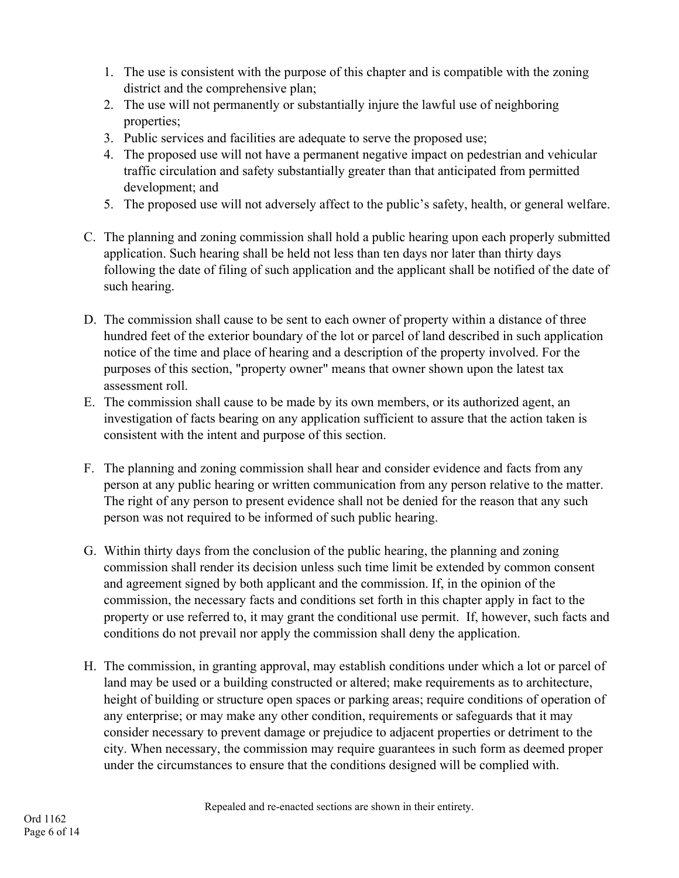- 1. The use is consistent with the purpose of this chapter and is compatible with the zoning district and the comprehensive plan;
- 2. The use will not permanently or substantially injure the lawful use of neighboring properties;
- 3. Public services and facilities are adequate to serve the proposed use;
- 4. The proposed use will not have a permanent negative impact on pedestrian and vehicular traffic circulation and safety substantially greater than that anticipated from permitted development; and
- 5. The proposed use will not adversely affect to the public's safety, health, or general welfare.
- C. The planning and zoning commission shall hold a public hearing upon each properly submitted application. Such hearing shall be held not less than ten days nor later than thirty days following the date of filing of such application and the applicant shall be notified of the date of such hearing.
- D. The commission shall cause to be sent to each owner of property within a distance of three hundred feet of the exterior boundary of the lot or parcel of land described in such application notice of the time and place of hearing and a description of the property involved. For the purposes of this section, "property owner" means that owner shown upon the latest tax assessment roll.
- E. The commission shall cause to be made by its own members, or its authorized agent, an investigation of facts bearing on any application sufficient to assure that the action taken is consistent with the intent and purpose of this section.
- F. The planning and zoning commission shall hear and consider evidence and facts from any person at any public hearing or written communication from any person relative to the matter. The right of any person to present evidence shall not be denied for the reason that any such person was not required to be informed of such public hearing.
- G. Within thirty days from the conclusion of the public hearing, the planning and zoning commission shall render its decision unless such time limit be extended by common consent and agreement signed by both applicant and the commission. If, in the opinion of the commission, the necessary facts and conditions set forth in this chapter apply in fact to the property or use referred to, it may grant the conditional use permit. If, however, such facts and conditions do not prevail nor apply the commission shall deny the application.
- H. The commission, in granting approval, may establish conditions under which a lot or parcel of land may be used or a building constructed or altered; make requirements as to architecture, height of building or structure open spaces or parking areas; require conditions of operation of any enterprise; or may make any other condition, requirements or safeguards that it may consider necessary to prevent damage or prejudice to adjacent properties or detriment to the city. When necessary, the commission may require guarantees in such form as deemed proper under the circumstances to ensure that the conditions designed will be complied with.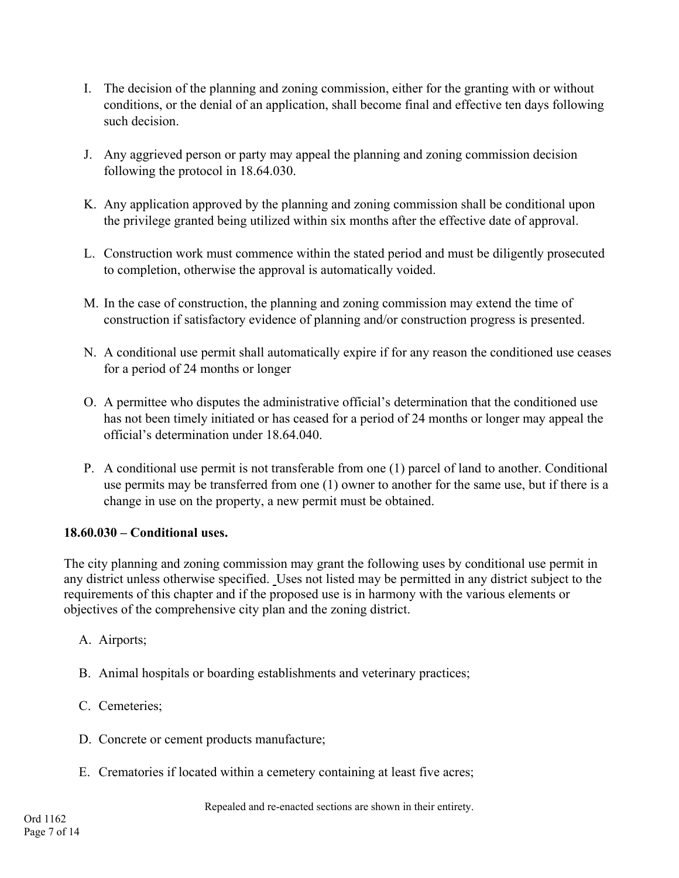- I. The decision of the planning and zoning commission, either for the granting with or without conditions, or the denial of an application, shall become final and effective ten days following such decision.
- J. Any aggrieved person or party may appeal the planning and zoning commission decision following the protocol in 18.64.030.
- K. Any application approved by the planning and zoning commission shall be conditional upon the privilege granted being utilized within six months after the effective date of approval.
- L. Construction work must commence within the stated period and must be diligently prosecuted to completion, otherwise the approval is automatically voided.
- M. In the case of construction, the planning and zoning commission may extend the time of construction if satisfactory evidence of planning and/or construction progress is presented.
- N. A conditional use permit shall automatically expire if for any reason the conditioned use ceases for a period of 24 months or longer
- O. A permittee who disputes the administrative official's determination that the conditioned use has not been timely initiated or has ceased for a period of 24 months or longer may appeal the official's determination under 18.64.040.
- P. A conditional use permit is not transferable from one (1) parcel of land to another. Conditional use permits may be transferred from one (1) owner to another for the same use, but if there is a change in use on the property, a new permit must be obtained.

#### **18.60.030 – Conditional uses.**

The city planning and zoning commission may grant the following uses by conditional use permit in any district unless otherwise specified. Uses not listed may be permitted in any district subject to the requirements of this chapter and if the proposed use is in harmony with the various elements or objectives of the comprehensive city plan and the zoning district.

- A. Airports;
- B. Animal hospitals or boarding establishments and veterinary practices;
- C. Cemeteries;
- D. Concrete or cement products manufacture;
- E. Crematories if located within a cemetery containing at least five acres;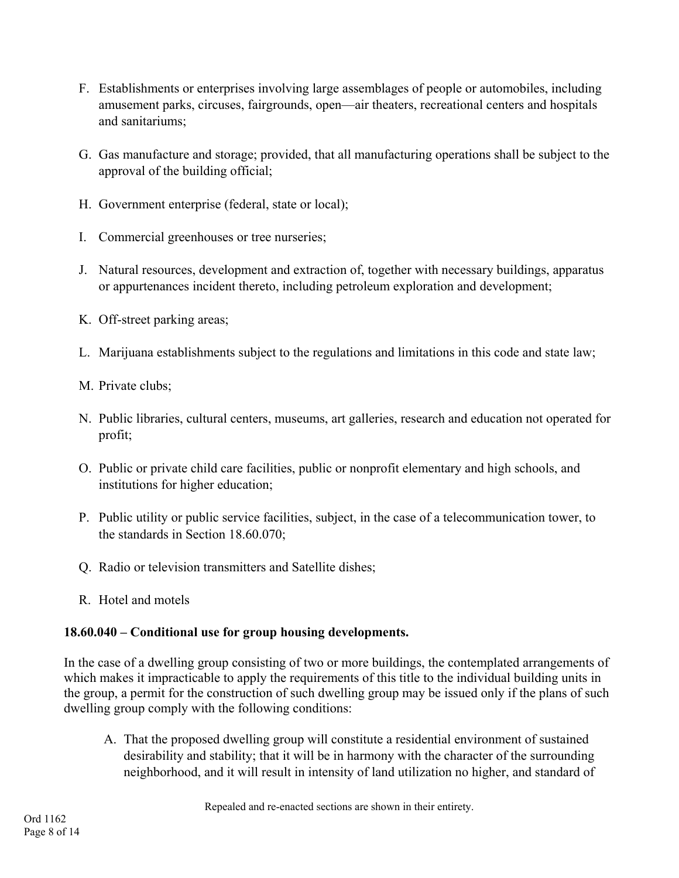- F. Establishments or enterprises involving large assemblages of people or automobiles, including amusement parks, circuses, fairgrounds, open—air theaters, recreational centers and hospitals and sanitariums;
- G. Gas manufacture and storage; provided, that all manufacturing operations shall be subject to the approval of the building official;
- H. Government enterprise (federal, state or local);
- I. Commercial greenhouses or tree nurseries;
- J. Natural resources, development and extraction of, together with necessary buildings, apparatus or appurtenances incident thereto, including petroleum exploration and development;
- K. Off-street parking areas;
- L. Marijuana establishments subject to the regulations and limitations in this code and state law;
- M. Private clubs;
- N. Public libraries, cultural centers, museums, art galleries, research and education not operated for profit;
- O. Public or private child care facilities, public or nonprofit elementary and high schools, and institutions for higher education;
- P. Public utility or public service facilities, subject, in the case of a telecommunication tower, to the standards in Section 18.60.070;
- Q. Radio or television transmitters and Satellite dishes;
- R. Hotel and motels

# **18.60.040 – Conditional use for group housing developments.**

In the case of a dwelling group consisting of two or more buildings, the contemplated arrangements of which makes it impracticable to apply the requirements of this title to the individual building units in the group, a permit for the construction of such dwelling group may be issued only if the plans of such dwelling group comply with the following conditions:

A. That the proposed dwelling group will constitute a residential environment of sustained desirability and stability; that it will be in harmony with the character of the surrounding neighborhood, and it will result in intensity of land utilization no higher, and standard of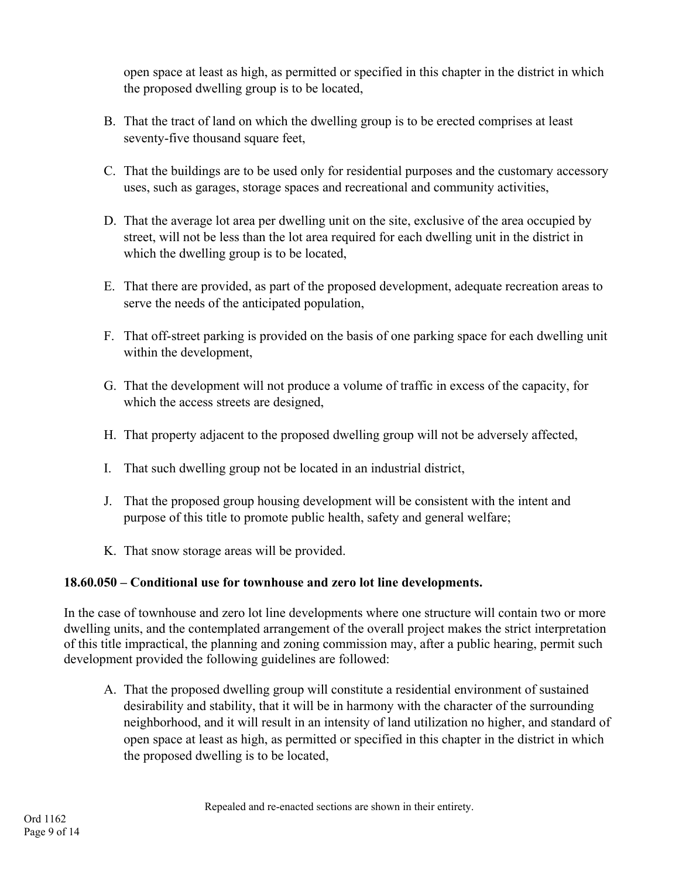open space at least as high, as permitted or specified in this chapter in the district in which the proposed dwelling group is to be located,

- B. That the tract of land on which the dwelling group is to be erected comprises at least seventy-five thousand square feet,
- C. That the buildings are to be used only for residential purposes and the customary accessory uses, such as garages, storage spaces and recreational and community activities,
- D. That the average lot area per dwelling unit on the site, exclusive of the area occupied by street, will not be less than the lot area required for each dwelling unit in the district in which the dwelling group is to be located,
- E. That there are provided, as part of the proposed development, adequate recreation areas to serve the needs of the anticipated population,
- F. That off-street parking is provided on the basis of one parking space for each dwelling unit within the development,
- G. That the development will not produce a volume of traffic in excess of the capacity, for which the access streets are designed,
- H. That property adjacent to the proposed dwelling group will not be adversely affected,
- I. That such dwelling group not be located in an industrial district,
- J. That the proposed group housing development will be consistent with the intent and purpose of this title to promote public health, safety and general welfare;
- K. That snow storage areas will be provided.

## **18.60.050 – Conditional use for townhouse and zero lot line developments.**

In the case of townhouse and zero lot line developments where one structure will contain two or more dwelling units, and the contemplated arrangement of the overall project makes the strict interpretation of this title impractical, the planning and zoning commission may, after a public hearing, permit such development provided the following guidelines are followed:

A. That the proposed dwelling group will constitute a residential environment of sustained desirability and stability, that it will be in harmony with the character of the surrounding neighborhood, and it will result in an intensity of land utilization no higher, and standard of open space at least as high, as permitted or specified in this chapter in the district in which the proposed dwelling is to be located,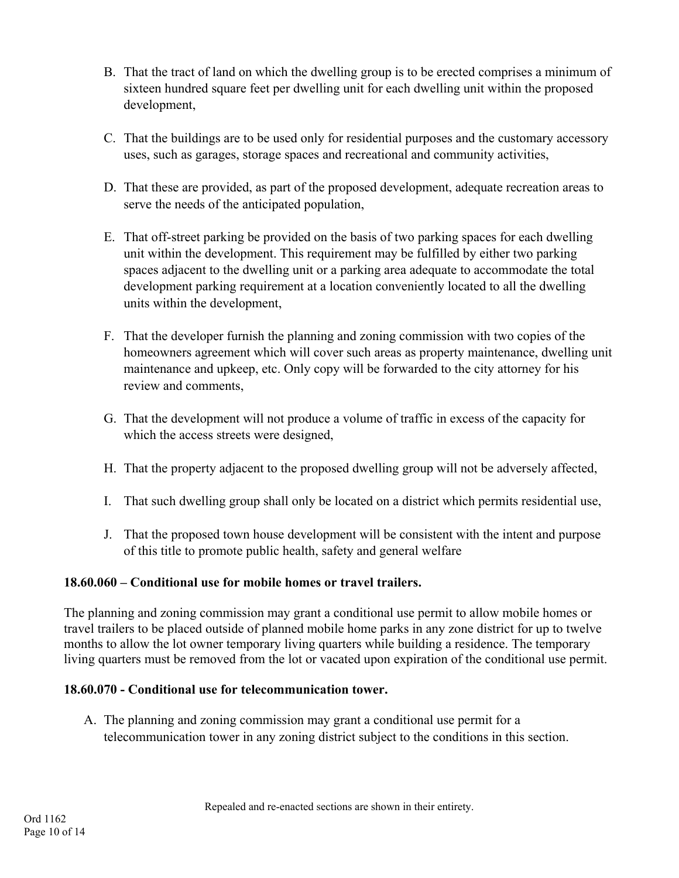- B. That the tract of land on which the dwelling group is to be erected comprises a minimum of sixteen hundred square feet per dwelling unit for each dwelling unit within the proposed development,
- C. That the buildings are to be used only for residential purposes and the customary accessory uses, such as garages, storage spaces and recreational and community activities,
- D. That these are provided, as part of the proposed development, adequate recreation areas to serve the needs of the anticipated population,
- E. That off-street parking be provided on the basis of two parking spaces for each dwelling unit within the development. This requirement may be fulfilled by either two parking spaces adjacent to the dwelling unit or a parking area adequate to accommodate the total development parking requirement at a location conveniently located to all the dwelling units within the development,
- F. That the developer furnish the planning and zoning commission with two copies of the homeowners agreement which will cover such areas as property maintenance, dwelling unit maintenance and upkeep, etc. Only copy will be forwarded to the city attorney for his review and comments,
- G. That the development will not produce a volume of traffic in excess of the capacity for which the access streets were designed,
- H. That the property adjacent to the proposed dwelling group will not be adversely affected,
- I. That such dwelling group shall only be located on a district which permits residential use,
- J. That the proposed town house development will be consistent with the intent and purpose of this title to promote public health, safety and general welfare

## **18.60.060 – Conditional use for mobile homes or travel trailers.**

The planning and zoning commission may grant a conditional use permit to allow mobile homes or travel trailers to be placed outside of planned mobile home parks in any zone district for up to twelve months to allow the lot owner temporary living quarters while building a residence. The temporary living quarters must be removed from the lot or vacated upon expiration of the conditional use permit.

## **18.60.070 - Conditional use for telecommunication tower.**

A. The planning and zoning commission may grant a conditional use permit for a telecommunication tower in any zoning district subject to the conditions in this section.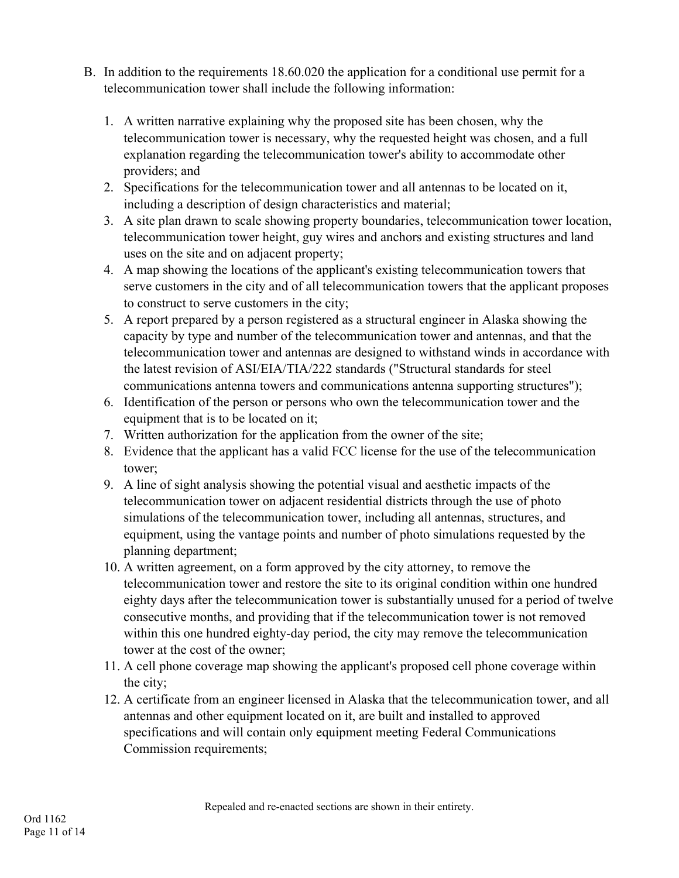- B. In addition to the requirements 18.60.020 the application for a conditional use permit for a telecommunication tower shall include the following information:
	- 1. A written narrative explaining why the proposed site has been chosen, why the telecommunication tower is necessary, why the requested height was chosen, and a full explanation regarding the telecommunication tower's ability to accommodate other providers; and
	- 2. Specifications for the telecommunication tower and all antennas to be located on it, including a description of design characteristics and material;
	- 3. A site plan drawn to scale showing property boundaries, telecommunication tower location, telecommunication tower height, guy wires and anchors and existing structures and land uses on the site and on adjacent property;
	- 4. A map showing the locations of the applicant's existing telecommunication towers that serve customers in the city and of all telecommunication towers that the applicant proposes to construct to serve customers in the city;
	- 5. A report prepared by a person registered as a structural engineer in Alaska showing the capacity by type and number of the telecommunication tower and antennas, and that the telecommunication tower and antennas are designed to withstand winds in accordance with the latest revision of ASI/EIA/TIA/222 standards ("Structural standards for steel communications antenna towers and communications antenna supporting structures");
	- 6. Identification of the person or persons who own the telecommunication tower and the equipment that is to be located on it;
	- 7. Written authorization for the application from the owner of the site;
	- 8. Evidence that the applicant has a valid FCC license for the use of the telecommunication tower;
	- 9. A line of sight analysis showing the potential visual and aesthetic impacts of the telecommunication tower on adjacent residential districts through the use of photo simulations of the telecommunication tower, including all antennas, structures, and equipment, using the vantage points and number of photo simulations requested by the planning department;
	- 10. A written agreement, on a form approved by the city attorney, to remove the telecommunication tower and restore the site to its original condition within one hundred eighty days after the telecommunication tower is substantially unused for a period of twelve consecutive months, and providing that if the telecommunication tower is not removed within this one hundred eighty-day period, the city may remove the telecommunication tower at the cost of the owner;
	- 11. A cell phone coverage map showing the applicant's proposed cell phone coverage within the city;
	- 12. A certificate from an engineer licensed in Alaska that the telecommunication tower, and all antennas and other equipment located on it, are built and installed to approved specifications and will contain only equipment meeting Federal Communications Commission requirements;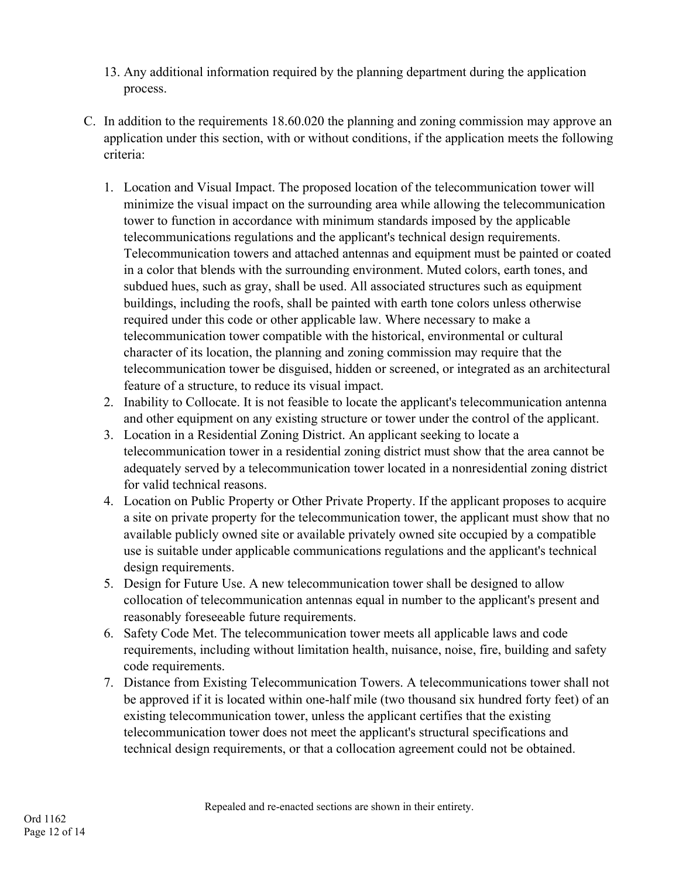- 13. Any additional information required by the planning department during the application process.
- C. In addition to the requirements 18.60.020 the planning and zoning commission may approve an application under this section, with or without conditions, if the application meets the following criteria:
	- 1. Location and Visual Impact. The proposed location of the telecommunication tower will minimize the visual impact on the surrounding area while allowing the telecommunication tower to function in accordance with minimum standards imposed by the applicable telecommunications regulations and the applicant's technical design requirements. Telecommunication towers and attached antennas and equipment must be painted or coated in a color that blends with the surrounding environment. Muted colors, earth tones, and subdued hues, such as gray, shall be used. All associated structures such as equipment buildings, including the roofs, shall be painted with earth tone colors unless otherwise required under this code or other applicable law. Where necessary to make a telecommunication tower compatible with the historical, environmental or cultural character of its location, the planning and zoning commission may require that the telecommunication tower be disguised, hidden or screened, or integrated as an architectural feature of a structure, to reduce its visual impact.
	- 2. Inability to Collocate. It is not feasible to locate the applicant's telecommunication antenna and other equipment on any existing structure or tower under the control of the applicant.
	- 3. Location in a Residential Zoning District. An applicant seeking to locate a telecommunication tower in a residential zoning district must show that the area cannot be adequately served by a telecommunication tower located in a nonresidential zoning district for valid technical reasons.
	- 4. Location on Public Property or Other Private Property. If the applicant proposes to acquire a site on private property for the telecommunication tower, the applicant must show that no available publicly owned site or available privately owned site occupied by a compatible use is suitable under applicable communications regulations and the applicant's technical design requirements.
	- 5. Design for Future Use. A new telecommunication tower shall be designed to allow collocation of telecommunication antennas equal in number to the applicant's present and reasonably foreseeable future requirements.
	- 6. Safety Code Met. The telecommunication tower meets all applicable laws and code requirements, including without limitation health, nuisance, noise, fire, building and safety code requirements.
	- 7. Distance from Existing Telecommunication Towers. A telecommunications tower shall not be approved if it is located within one-half mile (two thousand six hundred forty feet) of an existing telecommunication tower, unless the applicant certifies that the existing telecommunication tower does not meet the applicant's structural specifications and technical design requirements, or that a collocation agreement could not be obtained.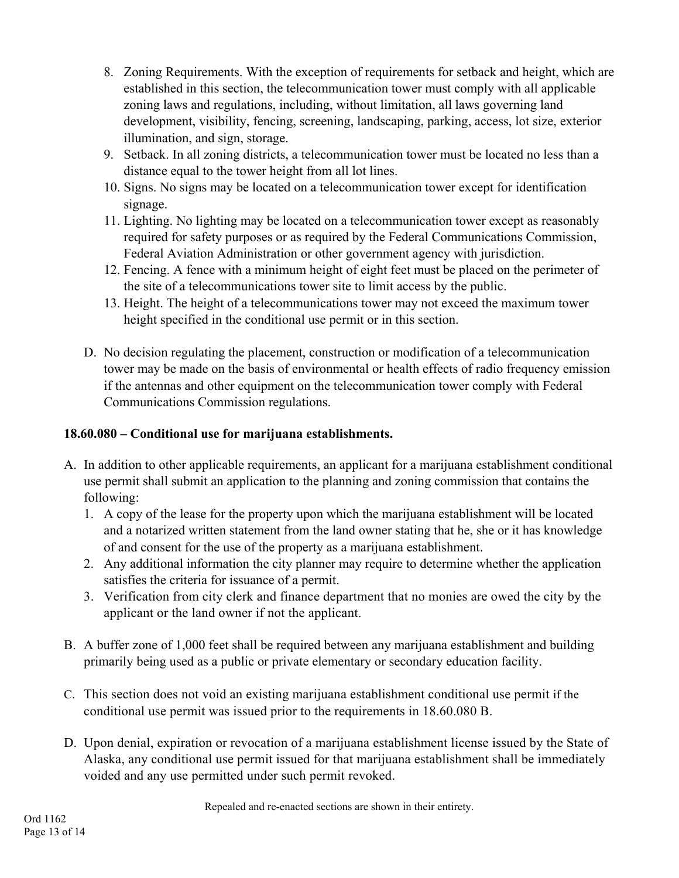- 8. Zoning Requirements. With the exception of requirements for setback and height, which are established in this section, the telecommunication tower must comply with all applicable zoning laws and regulations, including, without limitation, all laws governing land development, visibility, fencing, screening, landscaping, parking, access, lot size, exterior illumination, and sign, storage.
- 9. Setback. In all zoning districts, a telecommunication tower must be located no less than a distance equal to the tower height from all lot lines.
- 10. Signs. No signs may be located on a telecommunication tower except for identification signage.
- 11. Lighting. No lighting may be located on a telecommunication tower except as reasonably required for safety purposes or as required by the Federal Communications Commission, Federal Aviation Administration or other government agency with jurisdiction.
- 12. Fencing. A fence with a minimum height of eight feet must be placed on the perimeter of the site of a telecommunications tower site to limit access by the public.
- 13. Height. The height of a telecommunications tower may not exceed the maximum tower height specified in the conditional use permit or in this section.
- D. No decision regulating the placement, construction or modification of a telecommunication tower may be made on the basis of environmental or health effects of radio frequency emission if the antennas and other equipment on the telecommunication tower comply with Federal Communications Commission regulations.

## **18.60.080 – Conditional use for marijuana establishments.**

- A. In addition to other applicable requirements, an applicant for a marijuana establishment conditional use permit shall submit an application to the planning and zoning commission that contains the following:
	- 1. A copy of the lease for the property upon which the marijuana establishment will be located and a notarized written statement from the land owner stating that he, she or it has knowledge of and consent for the use of the property as a marijuana establishment.
	- 2. Any additional information the city planner may require to determine whether the application satisfies the criteria for issuance of a permit.
	- 3. Verification from city clerk and finance department that no monies are owed the city by the applicant or the land owner if not the applicant.
- B. A buffer zone of 1,000 feet shall be required between any marijuana establishment and building primarily being used as a public or private elementary or secondary education facility.
- C. This section does not void an existing marijuana establishment conditional use permit if the conditional use permit was issued prior to the requirements in 18.60.080 B.
- D. Upon denial, expiration or revocation of a marijuana establishment license issued by the State of Alaska, any conditional use permit issued for that marijuana establishment shall be immediately voided and any use permitted under such permit revoked.